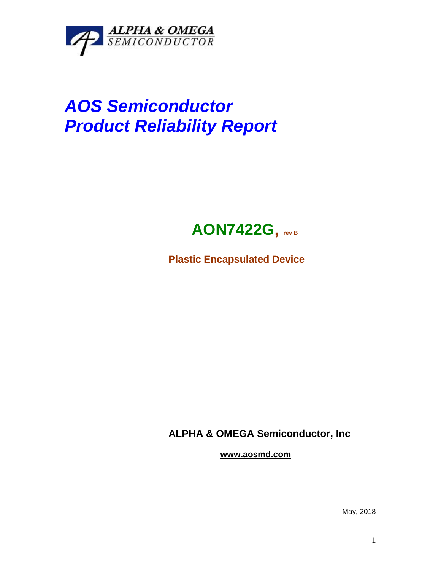

## *AOS Semiconductor Product Reliability Report*



**Plastic Encapsulated Device**

**ALPHA & OMEGA Semiconductor, Inc**

**www.aosmd.com**

May, 2018